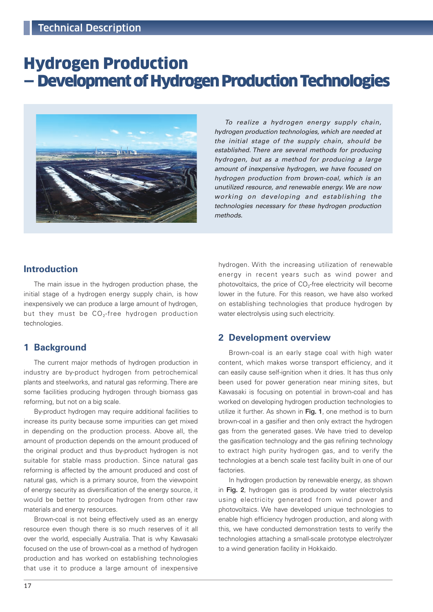# Hydrogen Production — Development of Hydrogen Production Technologies



To realize a hydrogen energy supply chain, hydrogen production technologies, which are needed at the initial stage of the supply chain, should be established. There are several methods for producing hydrogen, but as a method for producing a large amount of inexpensive hydrogen, we have focused on hydrogen production from brown-coal, which is an unutilized resource, and renewable energy. We are now working on developing and establishing the technologies necessary for these hydrogen production methods.

## **Introduction**

The main issue in the hydrogen production phase, the initial stage of a hydrogen energy supply chain, is how inexpensively we can produce a large amount of hydrogen, but they must be  $CO_2$ -free hydrogen production technologies.

### **1 Background**

The current major methods of hydrogen production in industry are by-product hydrogen from petrochemical plants and steelworks, and natural gas reforming. There are some facilities producing hydrogen through biomass gas reforming, but not on a big scale.

By-product hydrogen may require additional facilities to increase its purity because some impurities can get mixed in depending on the production process. Above all, the amount of production depends on the amount produced of the original product and thus by-product hydrogen is not suitable for stable mass production. Since natural gas reforming is affected by the amount produced and cost of natural gas, which is a primary source, from the viewpoint of energy security as diversification of the energy source, it would be better to produce hydrogen from other raw materials and energy resources.

Brown-coal is not being effectively used as an energy resource even though there is so much reserves of it all over the world, especially Australia. That is why Kawasaki focused on the use of brown-coal as a method of hydrogen production and has worked on establishing technologies that use it to produce a large amount of inexpensive

hydrogen. With the increasing utilization of renewable energy in recent years such as wind power and photovoltaics, the price of  $CO<sub>2</sub>$ -free electricity will become lower in the future. For this reason, we have also worked on establishing technologies that produce hydrogen by water electrolysis using such electricity.

### **2 Development overview**

Brown-coal is an early stage coal with high water content, which makes worse transport efficiency, and it can easily cause self-ignition when it dries. It has thus only been used for power generation near mining sites, but Kawasaki is focusing on potential in brown-coal and has worked on developing hydrogen production technologies to utilize it further. As shown in Fig. 1, one method is to burn brown-coal in a gasifier and then only extract the hydrogen gas from the generated gases. We have tried to develop the gasification technology and the gas refining technology to extract high purity hydrogen gas, and to verify the technologies at a bench scale test facility built in one of our factories.

In hydrogen production by renewable energy, as shown in Fig. 2, hydrogen gas is produced by water electrolysis using electricity generated from wind power and photovoltaics. We have developed unique technologies to enable high efficiency hydrogen production, and along with this, we have conducted demonstration tests to verify the technologies attaching a small-scale prototype electrolyzer to a wind generation facility in Hokkaido.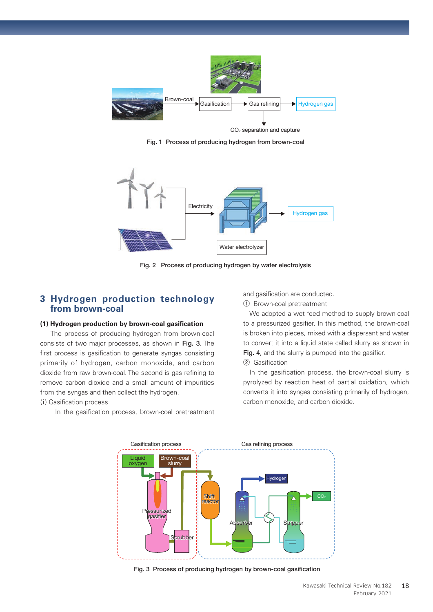

Fig. 1 Process of producing hydrogen from brown-coal



Fig. 2 Process of producing hydrogen by water electrolysis

### **3 Hydrogen production technology from brown-coal**

#### **(1) Hydrogen production by brown-coal gasification**

The process of producing hydrogen from brown-coal consists of two major processes, as shown in Fig. 3. The first process is gasification to generate syngas consisting primarily of hydrogen, carbon monoxide, and carbon dioxide from raw brown-coal. The second is gas refining to remove carbon dioxide and a small amount of impurities from the syngas and then collect the hydrogen.

### (i) Gasification process

In the gasification process, brown-coal pretreatment

and gasification are conducted.

① Brown-coal pretreatment

We adopted a wet feed method to supply brown-coal to a pressurized gasifier. In this method, the brown-coal is broken into pieces, mixed with a dispersant and water to convert it into a liquid state called slurry as shown in Fig. 4, and the slurry is pumped into the gasifier.

② Gasification

In the gasification process, the brown-coal slurry is pyrolyzed by reaction heat of partial oxidation, which converts it into syngas consisting primarily of hydrogen, carbon monoxide, and carbon dioxide.



Fig. 3 Process of producing hydrogen by brown-coal gasification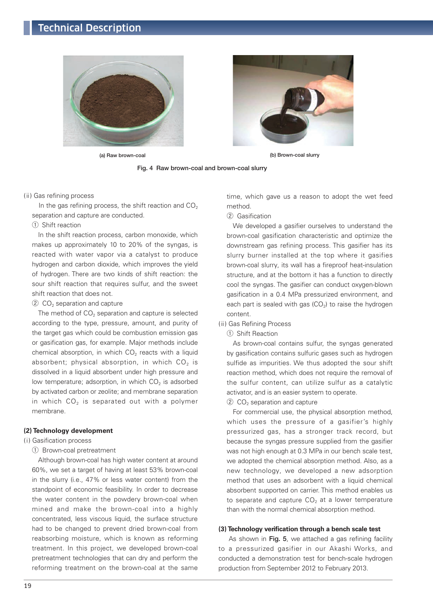# Technical Description





(a) Raw brown-coal (b) Brown-coal slurry

Fig. 4 Raw brown-coal and brown-coal slurry

( ii) Gas refining process

In the gas refining process, the shift reaction and  $CO<sub>2</sub>$ separation and capture are conducted.

① Shift reaction

In the shift reaction process, carbon monoxide, which makes up approximately 10 to 20% of the syngas, is reacted with water vapor via a catalyst to produce hydrogen and carbon dioxide, which improves the yield of hydrogen. There are two kinds of shift reaction: the sour shift reaction that requires sulfur, and the sweet shift reaction that does not.

 $(2)$  CO<sub>2</sub> separation and capture

The method of  $CO<sub>2</sub>$  separation and capture is selected according to the type, pressure, amount, and purity of the target gas which could be combustion emission gas or gasification gas, for example. Major methods include chemical absorption, in which  $CO<sub>2</sub>$  reacts with a liquid absorbent; physical absorption, in which  $CO<sub>2</sub>$  is dissolved in a liquid absorbent under high pressure and low temperature; adsorption, in which  $CO<sub>2</sub>$  is adsorbed by activated carbon or zeolite; and membrane separation in which  $CO<sub>2</sub>$  is separated out with a polymer membrane.

#### **(2) Technology development**

#### (i) Gasification process

① Brown-coal pretreatment

Although brown-coal has high water content at around 60%, we set a target of having at least 53% brown-coal in the slurry (i.e., 47% or less water content) from the standpoint of economic feasibility. In order to decrease the water content in the powdery brown-coal when mined and make the brown-coal into a highly concentrated, less viscous liquid, the surface structure had to be changed to prevent dried brown-coal from reabsorbing moisture, which is known as reforming treatment. In this project, we developed brown-coal pretreatment technologies that can dry and perform the reforming treatment on the brown-coal at the same time, which gave us a reason to adopt the wet feed method.

#### ② Gasification

We developed a gasifier ourselves to understand the brown-coal gasification characteristic and optimize the downstream gas refining process. This gasifier has its slurry burner installed at the top where it gasifies brown-coal slurry, its wall has a fireproof heat-insulation structure, and at the bottom it has a function to directly cool the syngas. The gasifier can conduct oxygen-blown gasification in a 0.4 MPa pressurized environment, and each part is sealed with gas  $(CO<sub>2</sub>)$  to raise the hydrogen content.

- ( ii) Gas Refining Process
	- ① Shift Reaction

As brown-coal contains sulfur, the syngas generated by gasification contains sulfuric gases such as hydrogen sulfide as impurities. We thus adopted the sour shift reaction method, which does not require the removal of the sulfur content, can utilize sulfur as a catalytic activator, and is an easier system to operate.

 $(2)$  CO<sub>2</sub> separation and capture

For commercial use, the physical absorption method, which uses the pressure of a gasifier's highly pressurized gas, has a stronger track record, but because the syngas pressure supplied from the gasifier was not high enough at 0.3 MPa in our bench scale test, we adopted the chemical absorption method. Also, as a new technology, we developed a new adsorption method that uses an adsorbent with a liquid chemical absorbent supported on carrier. This method enables us to separate and capture  $CO<sub>2</sub>$  at a lower temperature than with the normal chemical absorption method.

#### **(3) Technology verification through a bench scale test**

As shown in Fig. 5, we attached a gas refining facility to a pressurized gasifier in our Akashi Works, and conducted a demonstration test for bench-scale hydrogen production from September 2012 to February 2013.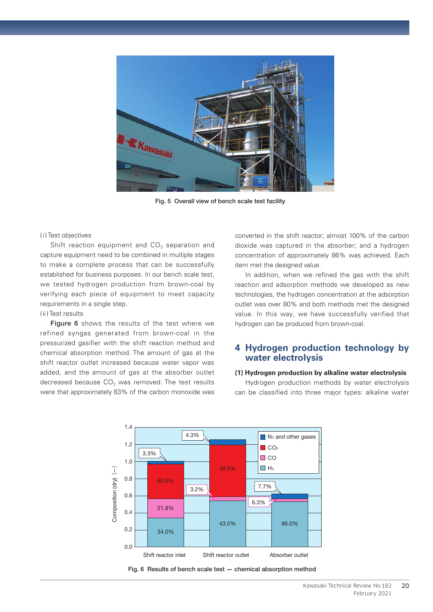

Fig. 5 Overall view of bench scale test facility

#### (i) Test objectives

Shift reaction equipment and  $CO<sub>2</sub>$  separation and capture equipment need to be combined in multiple stages to make a complete process that can be successfully established for business purposes. In our bench scale test, we tested hydrogen production from brown-coal by verifying each piece of equipment to meet capacity requirements in a single step.

#### ( ii) Test results

Figure 6 shows the results of the test where we refined syngas generated from brown-coal in the pressurized gasifier with the shift reaction method and chemical absorption method. The amount of gas at the shift reactor outlet increased because water vapor was added, and the amount of gas at the absorber outlet decreased because  $CO<sub>2</sub>$  was removed. The test results were that approximately 83% of the carbon monoxide was converted in the shift reactor; almost 100% of the carbon dioxide was captured in the absorber; and a hydrogen concentration of approximately 86% was achieved. Each item met the designed value.

In addition, when we refined the gas with the shift reaction and adsorption methods we developed as new technologies, the hydrogen concentration at the adsorption outlet was over 80% and both methods met the designed value. In this way, we have successfully verified that hydrogen can be produced from brown-coal.

### **4 Hydrogen production technology by water electrolysis**

#### **(1) Hydrogen production by alkaline water electrolysis**

Hydrogen production methods by water electrolysis can be classified into three major types: alkaline water



Kawasaki Technical Review No.182 February 2021

20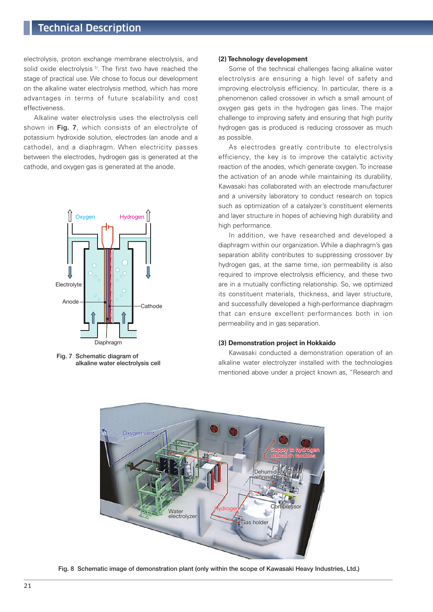# Technical Description

electrolysis, proton exchange membrane electrolysis, and solid oxide electrolysis<sup>1)</sup>. The first two have reached the stage of practical use. We chose to focus our development on the alkaline water electrolysis method, which has more advantages in terms of future scalability and cost effectiveness.

Alkaline water electrolysis uses the electrolysis cell shown in Fig. 7, which consists of an electrolyte of potassium hydroxide solution, electrodes (an anode and a cathode), and a diaphragm. When electricity passes between the electrodes, hydrogen gas is generated at the cathode, and oxygen gas is generated at the anode.



Fig. 7 Schematic diagram of alkaline water electrolysis cell

#### **(2) Technology development**

Some of the technical challenges facing alkaline water electrolysis are ensuring a high level of safety and improving electrolysis efficiency. In particular, there is a phenomenon called crossover in which a small amount of oxygen gas gets in the hydrogen gas lines. The major challenge to improving safety and ensuring that high purity hydrogen gas is produced is reducing crossover as much as possible.

As electrodes greatly contribute to electrolysis efficiency, the key is to improve the catalytic activity reaction of the anodes, which generate oxygen. To increase the activation of an anode while maintaining its durability, Kawasaki has collaborated with an electrode manufacturer and a university laboratory to conduct research on topics such as optimization of a catalyzer's constituent elements and layer structure in hopes of achieving high durability and high performance.

In addition, we have researched and developed a diaphragm within our organization. While a diaphragm's gas separation ability contributes to suppressing crossover by hydrogen gas, at the same time, ion permeability is also required to improve electrolysis efficiency, and these two are in a mutually conflicting relationship. So, we optimized its constituent materials, thickness, and layer structure, and successfully developed a high-performance diaphragm that can ensure excellent performances both in ion permeability and in gas separation.

#### **(3) Demonstration project in Hokkaido**

Kawasaki conducted a demonstration operation of an alkaline water electrolyzer installed with the technologies mentioned above under a project known as, "Research and



Fig. 8 Schematic image of demonstration plant (only within the scope of Kawasaki Heavy Industries, Ltd.)